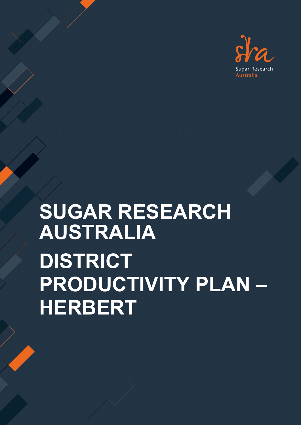

# **SUGAR RESEARCH AUSTRALIA DISTRICT PRODUCTIVITY PLAN – HERBERT**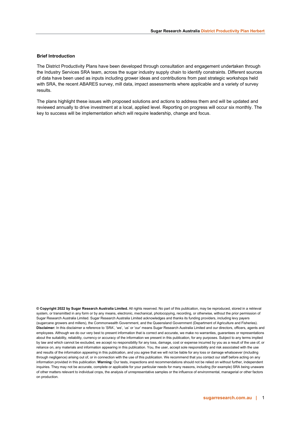#### **Brief Introduction**

The District Productivity Plans have been developed through consultation and engagement undertaken through the Industry Services SRA team, across the sugar industry supply chain to identify constraints. Different sources of data have been used as inputs including grower ideas and contributions from past strategic workshops held with SRA, the recent ABARES survey, mill data, impact assessments where applicable and a variety of survey results.

The plans highlight these issues with proposed solutions and actions to address them and will be updated and reviewed annually to drive investment at a local, applied level. Reporting on progress will occur six monthly. The key to success will be implementation which will require leadership, change and focus.

**© Copyright 2022 by Sugar Research Australia Limited.** All rights reserved. No part of this publication, may be reproduced, stored in a retrieval system, or transmitted in any form or by any means, electronic, mechanical, photocopying, recording, or otherwise, without the prior permission of Sugar Research Australia Limited. Sugar Research Australia Limited acknowledges and thanks its funding providers, including levy payers (sugarcane growers and millers), the Commonwealth Government, and the Queensland Government (Department of Agriculture and Fisheries). **Disclaimer:** In this disclaimer a reference to 'SRA', 'we', 'us' or 'our' means Sugar Research Australia Limited and our directors, officers, agents and employees. Although we do our very best to present information that is correct and accurate, we make no warranties, guarantees or representations about the suitability, reliability, currency or accuracy of the information we present in this publication, for any purposes. Subject to any terms implied by law and which cannot be excluded, we accept no responsibility for any loss, damage, cost or expense incurred by you as a result of the use of, or reliance on, any materials and information appearing in this publication. You, the user, accept sole responsibility and risk associated with the use and results of the information appearing in this publication, and you agree that we will not be liable for any loss or damage whatsoever (including through negligence) arising out of, or in connection with the use of this publication. We recommend that you contact our staff before acting on any information provided in this publication. **Warning:** Our tests, inspections and recommendations should not be relied on without further, independent inquiries. They may not be accurate, complete or applicable for your particular needs for many reasons, including (for example) SRA being unaware of other matters relevant to individual crops, the analysis of unrepresentative samples or the influence of environmental, managerial or other factors on production.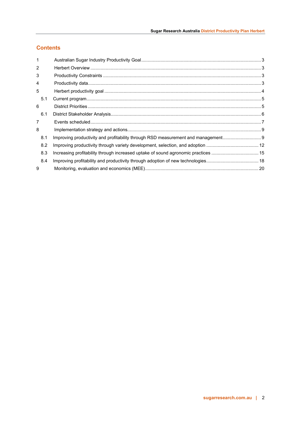# **Contents**

| $\mathbf 1$ |                                                                                    |  |
|-------------|------------------------------------------------------------------------------------|--|
| 2           |                                                                                    |  |
| 3           |                                                                                    |  |
| 4           |                                                                                    |  |
| 5           |                                                                                    |  |
| 5.1         |                                                                                    |  |
| 6           |                                                                                    |  |
| 6.1         |                                                                                    |  |
| 7           |                                                                                    |  |
| 8           |                                                                                    |  |
| 8.1         | Improving productivity and profitability through RSD measurement and management    |  |
| 8.2         |                                                                                    |  |
| 8.3         | Increasing profitability through increased uptake of sound agronomic practices  15 |  |
| 8.4         |                                                                                    |  |
| 9           |                                                                                    |  |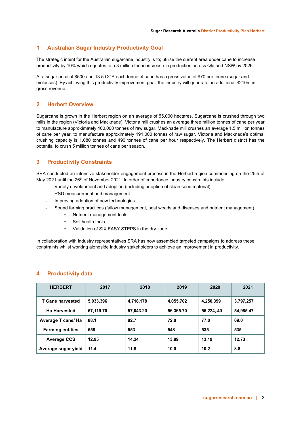# <span id="page-3-0"></span>**1 Australian Sugar Industry Productivity Goal**

The strategic intent for the Australian sugarcane industry is to; utilise the current area under cane to increase productivity by 10% which equates to a 3 million tonne increase in production across Qld and NSW by 2026.

At a sugar price of \$500 and 13.5 CCS each tonne of cane has a gross value of \$70 per tonne (sugar and molasses). By achieving this productivity improvement goal, the industry will generate an additional \$210m in gross revenue.

## <span id="page-3-1"></span>**2 Herbert Overview**

Sugarcane is grown in the Herbert region on an average of 55,000 hectares. Sugarcane is crushed through two mills in the region (Victoria and Macknade). Victoria mill crushes an average three million tonnes of cane per year to manufacture approximately 400,000 tonnes of raw sugar. Macknade mill crushes an average 1.5 million tonnes of cane per year, to manufacture approximately 191,000 tonnes of raw sugar. Victoria and Macknade's optimal crushing capacity is 1,080 tonnes and 490 tonnes of cane per hour respectively. The Herbert district has the potential to crush 5 million tonnes of cane per season.

# <span id="page-3-2"></span>**3 Productivity Constraints**

SRA conducted an intensive stakeholder engagement process in the Herbert region commencing on the 25th of May 2021 until the 26<sup>th</sup> of November 2021. In order of importance industry constraints include:

- Variety development and adoption (including adoption of clean seed material).
- RSD measurement and management.
- Improving adoption of new technologies.
- Sound farming practices (fallow management, pest weeds and diseases and nutrient management).
	- o Nutrient management tools.
	- o Soil health tools.
	- o Validation of SIX EASY STEPS in the dry zone.

In collaboration with industry representatives SRA has now assembled targeted campaigns to address these constraints whilst working alongside industry stakeholders to achieve an improvement in productivity.

## <span id="page-3-3"></span>**4 Productivity data**

.

| <b>HERBERT</b>          | 2017      | 2018      | 2019      | 2020       | 2021      |
|-------------------------|-----------|-----------|-----------|------------|-----------|
| <b>T Cane harvested</b> | 5,033,396 | 4,718,178 | 4,055,702 | 4,250,399  | 3,797,257 |
| <b>Ha Harvested</b>     | 57,119.70 | 57,043.20 | 56,365.70 | 55,224,.40 | 54,985.47 |
| Average T cane/ Ha      | 88.1      | 82.7      | 72.0      | 77.0       | 69.0      |
| <b>Farming entities</b> | 558       | 553       | 548       | 535        | 535       |
| <b>Average CCS</b>      | 12.95     | 14.24     | 13.89     | 13.19      | 12.73     |
| Average sugar yield     | 11.4      | 11.8      | 10.0      | 10.2       | 8.8       |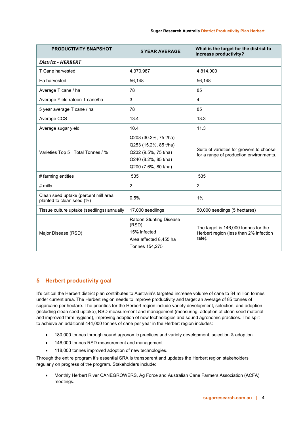| <b>PRODUCTIVITY SNAPSHOT</b>                                      | <b>5 YEAR AVERAGE</b>                                                                                                  | What is the target for the district to<br>increase productivity?                         |
|-------------------------------------------------------------------|------------------------------------------------------------------------------------------------------------------------|------------------------------------------------------------------------------------------|
| <b>District - HERBERT</b>                                         |                                                                                                                        |                                                                                          |
| T Cane harvested                                                  | 4,370,987                                                                                                              | 4,814,000                                                                                |
| Ha harvested                                                      | 56,148                                                                                                                 | 56,148                                                                                   |
| Average T cane / ha                                               | 78                                                                                                                     | 85                                                                                       |
| Average Yield ratoon T cane/ha                                    | 3                                                                                                                      | $\overline{4}$                                                                           |
| 5 year average T cane / ha                                        | 78                                                                                                                     | 85                                                                                       |
| Average CCS                                                       | 13.4                                                                                                                   | 13.3                                                                                     |
| Average sugar yield                                               | 10.4                                                                                                                   | 11.3                                                                                     |
| Varieties Top 5 Total Tonnes / %                                  | Q208 (30.2%, 75 t/ha)<br>Q253 (15.2%, 85 t/ha)<br>Q232 (9.5%, 75 t/ha)<br>Q240 (8.2%, 85 t/ha)<br>Q200 (7.6%, 80 t/ha) | Suite of varieties for growers to choose<br>for a range of production environments.      |
| # farming entities                                                | 535                                                                                                                    | 535                                                                                      |
| $#$ mills                                                         | $\overline{2}$                                                                                                         | 2                                                                                        |
| Clean seed uptake (percent mill area<br>planted to clean seed (%) | 0.5%                                                                                                                   | 1%                                                                                       |
| Tissue culture uptake (seedlings) annually                        | 17,000 seedlings                                                                                                       | 50,000 seedings (5 hectares)                                                             |
| Major Disease (RSD)                                               | <b>Ratoon Stunting Disease</b><br>(RSD)<br>15% infected<br>Area affected 8,455 ha<br>Tonnes 154,275                    | The target is 146,000 tonnes for the<br>Herbert region (less than 2% infection<br>rate). |

# <span id="page-4-0"></span>**5 Herbert productivity goal**

It's critical the Herbert district plan contributes to Australia's targeted increase volume of cane to 34 million tonnes under current area. The Herbert region needs to improve productivity and target an average of 85 tonnes of sugarcane per hectare. The priorities for the Herbert region include variety development, selection, and adoption (including clean seed uptake), RSD measurement and management (measuring, adoption of clean seed material and improved farm hygiene), improving adoption of new technologies and sound agronomic practices. The split to achieve an additional 444,000 tonnes of cane per year in the Herbert region includes:

- 180,000 tonnes through sound agronomic practices and variety development, selection & adoption.
- 146,000 tonnes RSD measurement and management.
- 118,000 tonnes improved adoption of new technologies.

Through the entire program it's essential SRA is transparent and updates the Herbert region stakeholders regularly on progress of the program. Stakeholders include:

• Monthly Herbert River CANEGROWERS, Ag Force and Australian Cane Farmers Association (ACFA) meetings.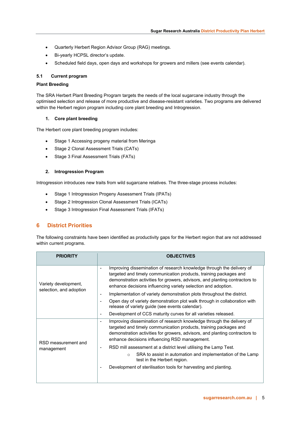- Quarterly Herbert Region Advisor Group (RAG) meetings.
- Bi-yearly HCPSL director's update.
- Scheduled field days, open days and workshops for growers and millers (see events calendar).

#### <span id="page-5-0"></span>**5.1 Current program**

## **Plant Breeding**

The SRA Herbert Plant Breeding Program targets the needs of the local sugarcane industry through the optimised selection and release of more productive and disease-resistant varieties. Two programs are delivered within the Herbert region program including core plant breeding and Introgression.

## **1. Core plant breeding**

The Herbert core plant breeding program includes:

- Stage 1 Accessing progeny material from Meringa
- Stage 2 Clonal Assessment Trials (CATs)
- Stage 3 Final Assessment Trials (FATs)

#### **2. Introgression Program**

Introgression introduces new traits from wild sugarcane relatives. The three-stage process includes:

- Stage 1 Introgression Progeny Assessment Trials (IPATs)
- Stage 2 Introgression Clonal Assessment Trials (ICATs)
- Stage 3 Introgression Final Assessment Trials (IFATs)

# <span id="page-5-1"></span>**6 District Priorities**

The following constraints have been identified as productivity gaps for the Herbert region that are not addressed within current programs.

| <b>PRIORITY</b>                                 | <b>OBJECTIVES</b>                                                                                                                                                                                                                                                                          |
|-------------------------------------------------|--------------------------------------------------------------------------------------------------------------------------------------------------------------------------------------------------------------------------------------------------------------------------------------------|
| Variety development,<br>selection, and adoption | Improving dissemination of research knowledge through the delivery of<br>targeted and timely communication products, training packages and<br>demonstration activities for growers, advisors, and planting contractors to<br>enhance decisions influencing variety selection and adoption. |
|                                                 | Implementation of variety demonstration plots throughout the district.                                                                                                                                                                                                                     |
|                                                 | Open day of variety demonstration plot walk through in collaboration with<br>release of variety guide (see events calendar).                                                                                                                                                               |
|                                                 | Development of CCS maturity curves for all varieties released.                                                                                                                                                                                                                             |
| RSD measurement and                             | Improving dissemination of research knowledge through the delivery of<br>targeted and timely communication products, training packages and<br>demonstration activities for growers, advisors, and planting contractors to<br>enhance decisions influencing RSD management.                 |
| management                                      | RSD mill assessment at a district level utilising the Lamp Test.                                                                                                                                                                                                                           |
|                                                 | SRA to assist in automation and implementation of the Lamp<br>$\Omega$<br>test in the Herbert region.                                                                                                                                                                                      |
|                                                 | Development of sterilisation tools for harvesting and planting.                                                                                                                                                                                                                            |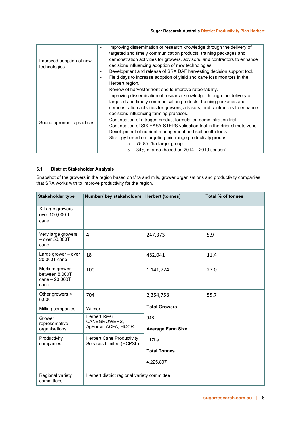| Improved adoption of new<br>technologies | Improving dissemination of research knowledge through the delivery of<br>targeted and timely communication products, training packages and<br>demonstration activities for growers, advisors, and contractors to enhance<br>decisions influencing adoption of new technologies.<br>Development and release of SRA DAF harvesting decision support tool.<br>Field days to increase adoption of yield and cane loss monitors in the<br>Herbert region.<br>Review of harvester front end to improve ratoonability.<br>$\qquad \qquad \blacksquare$                                                               |
|------------------------------------------|---------------------------------------------------------------------------------------------------------------------------------------------------------------------------------------------------------------------------------------------------------------------------------------------------------------------------------------------------------------------------------------------------------------------------------------------------------------------------------------------------------------------------------------------------------------------------------------------------------------|
| Sound agronomic practices                | Improving dissemination of research knowledge through the delivery of<br>targeted and timely communication products, training packages and<br>demonstration activities for growers, advisors, and contractors to enhance<br>decisions influencing farming practices.<br>Continuation of nitrogen product formulation demonstration trial.<br>Continuation of SIX EASY STEPS validation trial in the drier climate zone.<br>$\overline{\phantom{0}}$<br>Development of nutrient management and soil health tools.<br>Strategy based on targeting mid-range productivity groups<br>75-85 t/ha target group<br>O |
|                                          | 34% of area (based on 2014 – 2019 season).<br>O                                                                                                                                                                                                                                                                                                                                                                                                                                                                                                                                                               |

## <span id="page-6-0"></span>**6.1 District Stakeholder Analysis**

Snapshot of the growers in the region based on t/ha and mils, grower organisations and productivity companies that SRA works with to improve productivity for the region.

| <b>Stakeholder type</b>                                    | Number/ key stakeholders                                     | <b>Herbert (tonnes)</b>  | Total % of tonnes |
|------------------------------------------------------------|--------------------------------------------------------------|--------------------------|-------------------|
| X Large growers -<br>over 100,000 T<br>cane                |                                                              |                          |                   |
| Very large growers<br>$-$ over $50,000$ T<br>cane          | $\overline{a}$                                               | 247,373                  | 5.9               |
| Large grower - over<br>20,000T cane                        | 18                                                           | 482,041                  | 11.4              |
| Medium grower-<br>between 8,000T<br>cane - 20,000T<br>cane | 100                                                          | 1,141,724                | 27.0              |
| Other growers <<br>8,000T                                  | 704                                                          | 2,354,758                | 55.7              |
| Milling companies                                          | Wilmar                                                       | <b>Total Growers</b>     |                   |
| Grower                                                     | <b>Herbert River</b><br>CANEGROWERS,                         | 948                      |                   |
| representative<br>organisations                            | AgForce, ACFA, HQCR                                          | <b>Average Farm Size</b> |                   |
| Productivity<br>companies                                  | <b>Herbert Cane Productivity</b><br>Services Limited (HCPSL) | 117 <sub>ha</sub>        |                   |
|                                                            |                                                              | <b>Total Tonnes</b>      |                   |
|                                                            |                                                              | 4,225,897                |                   |
| Regional variety<br>committees                             | Herbert district regional variety committee                  |                          |                   |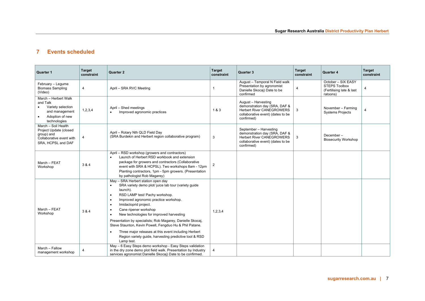# **7 Events scheduled**

<span id="page-7-0"></span>

| <b>Quarter 1</b>                                                                                                        | <b>Target</b><br>constraint | <b>Quarter 2</b>                                                                                                                                                                                                                                                                                                                                                                                                                                                                                                                               | <b>Target</b><br>constraint | <b>Quarter 3</b>                                                                                                                               | <b>Target</b><br>constraint | <b>Quarter 4</b>                                                                   | <b>Target</b><br>constraint |
|-------------------------------------------------------------------------------------------------------------------------|-----------------------------|------------------------------------------------------------------------------------------------------------------------------------------------------------------------------------------------------------------------------------------------------------------------------------------------------------------------------------------------------------------------------------------------------------------------------------------------------------------------------------------------------------------------------------------------|-----------------------------|------------------------------------------------------------------------------------------------------------------------------------------------|-----------------------------|------------------------------------------------------------------------------------|-----------------------------|
| February - Lequme<br><b>Biomass Sampling</b><br>(Video)                                                                 | $\overline{4}$              | April - SRA RVC Meeting                                                                                                                                                                                                                                                                                                                                                                                                                                                                                                                        | $\mathbf{1}$                | August - Temporal N Field walk<br>Presentation by agronomist<br>Danielle Skocaj) Date to be<br>confirmed                                       | $\overline{4}$              | October - SIX EASY<br><b>STEPS Toolbox</b><br>(Fertilising late & last<br>ratoons) |                             |
| March - Herbert Walk<br>and Talk<br>Variety selection<br>and management<br>Adoption of new<br>$\bullet$<br>technologies | 1,2,3,4                     | April - Shed meetings<br>Improved agronomic practices<br>$\bullet$                                                                                                                                                                                                                                                                                                                                                                                                                                                                             | 1&3                         | August - Harvesting<br>demonstration day (SRA, DAF &<br><b>Herbert River CANEGROWERS</b><br>collaborative event) (dates to be<br>confirmed)    | 3                           | November - Farming<br><b>Systems Projects</b>                                      | $\overline{4}$              |
| March - Soil Health<br>Project Update (closed<br>group) and<br>Collaborative event with<br>SRA, HCPSL and DAF           | $\overline{4}$              | April - Rotary Nth QLD Field Day<br>(SRA Burdekin and Herbert region collaborative program)                                                                                                                                                                                                                                                                                                                                                                                                                                                    | 3                           | September - Harvesting<br>demonstration day (SRA, DAF &<br><b>Herbert River CANEGROWERS</b><br>collaborative event) (dates to be<br>confirmed) | 3                           | December-<br><b>Biosecurity Workshop</b>                                           |                             |
| March - FEAT<br>Workshop                                                                                                | 3 & 4                       | April - RSD workshop (growers and contractors)<br>Launch of Herbert RSD workbook and extension<br>$\bullet$<br>package for growers and contractors (Collaborative<br>event with SRA & HCPSL). Two workshops 8am - 12pm<br>Planting contractors, 1pm - 5pm growers. (Presentation<br>by pathologist Rob Magarey)                                                                                                                                                                                                                                | $\overline{2}$              |                                                                                                                                                |                             |                                                                                    |                             |
| March - FEAT<br>Workshop                                                                                                | 3 & 4                       | May - SRA Herbert station open day<br>SRA variety demo plot/ juice lab tour (variety guide<br>launch).<br>RSD LAMP test/ Pachy workshop.<br>$\bullet$<br>Improved agronomic practice workshop.<br>$\bullet$<br>Imidacloprid project.<br>$\bullet$<br>Cane ripener workshop<br>$\bullet$<br>New technologies for improved harvesting<br>$\bullet$<br>Presentation by specialists; Rob Magarey, Danielle Skocaj,<br>Steve Staunton, Kevin Powell, Fengduo Hu & Phil Patane.<br>Three major releases at this event including Herbert<br>$\bullet$ | 1,2,3,4                     |                                                                                                                                                |                             |                                                                                    |                             |
|                                                                                                                         |                             | Region variety guide, harvesting predictive tool & RSD<br>Lamp test.<br>May - 6 Easy Steps demo workshop - Easy Steps validation                                                                                                                                                                                                                                                                                                                                                                                                               |                             |                                                                                                                                                |                             |                                                                                    |                             |
| March - Fallow<br>management workshop                                                                                   | $\overline{4}$              | in the dry zone demo plot field walk. Presentation by Industry<br>services agronomist Danielle Skocaj) Date to be confirmed.                                                                                                                                                                                                                                                                                                                                                                                                                   | $\overline{4}$              |                                                                                                                                                |                             |                                                                                    |                             |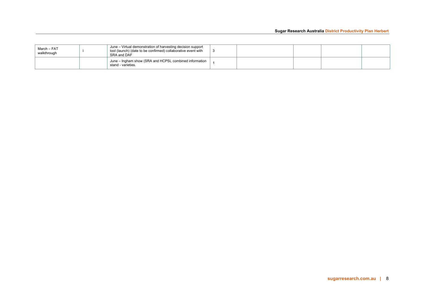| March – FAT<br>walkthrough | June – Virtual demonstration of harvesting decision support<br>tool (launch) (date to be confirmed) collaborative event with<br>SRA and DAF |  |  |  |
|----------------------------|---------------------------------------------------------------------------------------------------------------------------------------------|--|--|--|
|                            | June – Ingham show (SRA and HCPSL combined information<br>stand - varieties.                                                                |  |  |  |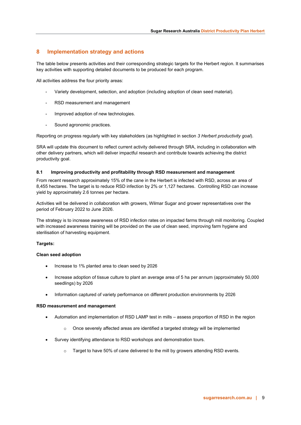## <span id="page-9-0"></span>**8 Implementation strategy and actions**

The table below presents activities and their corresponding strategic targets for the Herbert region. It summarises key activities with supporting detailed documents to be produced for each program.

All activities address the four priority areas:

- Variety development, selection, and adoption (including adoption of clean seed material).
- RSD measurement and management
- Improved adoption of new technologies.
- Sound agronomic practices.

Reporting on progress regularly with key stakeholders (as highlighted in section *3 Herbert productivity goal*).

SRA will update this document to reflect current activity delivered through SRA, including in collaboration with other delivery partners, which will deliver impactful research and contribute towards achieving the district productivity goal.

## <span id="page-9-1"></span>**8.1 Improving productivity and profitability through RSD measurement and management**

From recent research approximately 15% of the cane in the Herbert is infected with RSD, across an area of 8,455 hectares. The target is to reduce RSD infection by 2% or 1,127 hectares. Controlling RSD can increase yield by approximately 2.6 tonnes per hectare.

Activities will be delivered in collaboration with growers, Wilmar Sugar and grower representatives over the period of February 2022 to June 2026.

The strategy is to increase awareness of RSD infection rates on impacted farms through mill monitoring. Coupled with increased awareness training will be provided on the use of clean seed, improving farm hygiene and sterilisation of harvesting equipment.

#### **Targets:**

#### **Clean seed adoption**

- Increase to 1% planted area to clean seed by 2026
- Increase adoption of tissue culture to plant an average area of 5 ha per annum (approximately 50,000 seedlings) by 2026
- Information captured of variety performance on different production environments by 2026

#### **RSD measurement and management**

- Automation and implementation of RSD LAMP test in mills assess proportion of RSD in the region
	- o Once severely affected areas are identified a targeted strategy will be implemented
- Survey identifying attendance to RSD workshops and demonstration tours.
	- o Target to have 50% of cane delivered to the mill by growers attending RSD events.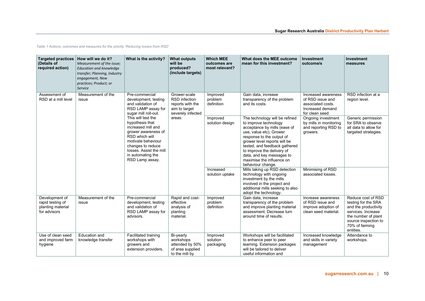*Table 1 Actions, outcomes and measures for the priority 'Reducing losses from RSD'*

| <b>Targeted practices</b><br>(Details of<br>required action)            | How will we do it?<br>Measurement of the issue;<br><b>Education and knowledge</b><br>transfer; Planning, Industry<br>engagement, New<br>practices; Product; or<br>Service | What is the activity?                                                                                                                                                                                                                                                                                                           | <b>What outputs</b><br>will be<br>produced?<br>(include targets)                                         | <b>Which MEE</b><br>outcomes are<br>most relevant? | What does the MEE outcome<br>mean for this investment?                                                                                                                                                                                                                                                                        | <b>Investment</b><br>outcome/s                                                                     | <b>Investment</b><br>measures                                                                                                                                         |
|-------------------------------------------------------------------------|---------------------------------------------------------------------------------------------------------------------------------------------------------------------------|---------------------------------------------------------------------------------------------------------------------------------------------------------------------------------------------------------------------------------------------------------------------------------------------------------------------------------|----------------------------------------------------------------------------------------------------------|----------------------------------------------------|-------------------------------------------------------------------------------------------------------------------------------------------------------------------------------------------------------------------------------------------------------------------------------------------------------------------------------|----------------------------------------------------------------------------------------------------|-----------------------------------------------------------------------------------------------------------------------------------------------------------------------|
| Assessment of<br>RSD at a mill level                                    | Measurement of the<br>issue                                                                                                                                               | Pre-commercial<br>development, testing<br>and validation of<br>RSD LAMP assay for<br>sugar mill roll-out.<br>This will test the<br>hypothesis that<br>increased mill and<br>grower awareness of<br>RSD which will<br>motivate behaviour<br>changes to reduce<br>losses. Assist the mill<br>in automating the<br>RSD Lamp assay. | Grower-scale<br><b>RSD</b> infection<br>reports with the<br>aim to target<br>severely infected<br>areas. | Improved<br>problem<br>definition                  | Gain data, increase<br>transparency of the problem<br>and its costs.                                                                                                                                                                                                                                                          | Increased awareness<br>of RSD issue and<br>associated costs.<br>Increased demand<br>for clean seed | RSD infection at a<br>region level.                                                                                                                                   |
|                                                                         |                                                                                                                                                                           |                                                                                                                                                                                                                                                                                                                                 |                                                                                                          | Improved<br>solution design                        | The technology will be refined<br>to improve technology<br>acceptance by mills (ease of<br>use, value etc). Grower<br>response to the output of<br>grower level reports will be<br>tested, and feedback gathered<br>to improve the delivery of<br>data, and key messages to<br>maximise the influence on<br>behaviour change. | Ongoing investment<br>by mills in monitoring<br>and reporting RSD to<br>growers.                   | Generic permission<br>for SRA to observe<br>all data to allow for<br>targeted strategies.                                                                             |
|                                                                         |                                                                                                                                                                           |                                                                                                                                                                                                                                                                                                                                 |                                                                                                          | Increased<br>solution uptake                       | Mills taking up RSD detection<br>technology with ongoing<br>investment by the mills<br>involved in the project and<br>additional mills seeking to also<br>adopt the technology.                                                                                                                                               | Minimising of RSD<br>associated losses.                                                            |                                                                                                                                                                       |
| Development of<br>rapid testing of<br>planting material<br>for advisors | Measurement of the<br>issue                                                                                                                                               | Pre-commercial<br>development, testing<br>and validation of<br>RSD LAMP assay for<br>advisors.                                                                                                                                                                                                                                  | Rapid and cost-<br>effective<br>analysis of<br>planting<br>material.                                     | Improved<br>problem<br>definition                  | Gain data, increase<br>transparency of the problem<br>and improve planting material<br>assessment. Decrease turn<br>around time of results.                                                                                                                                                                                   | Increase awareness<br>of RSD issue and<br>improve adoption of<br>clean seed material.              | Reduce cost of RSD<br>testing for the SRA<br>and the productivity<br>services. Increase<br>the number of plant<br>source inspection to<br>70% of farming<br>entities. |
| Use of clean seed<br>and improved farm<br>hygiene                       | <b>Education and</b><br>knowledge transfer                                                                                                                                | Facilitated training<br>workshops with<br>growers and<br>extension providers.                                                                                                                                                                                                                                                   | Bi-yearly<br>workshops<br>attended by 50%<br>of area supplied<br>to the mill by                          | Improved<br>solution<br>packaging                  | Workshops will be facilitated<br>to enhance peer to peer<br>learning. Extension packages<br>will be tailored to deliver<br>useful information and                                                                                                                                                                             | Increased knowledge<br>and skills in variety<br>management                                         | Attendance to<br>workshops.                                                                                                                                           |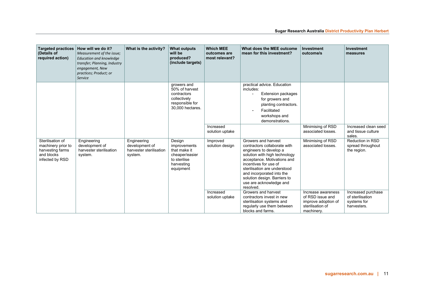| <b>Targeted practices</b><br>(Details of<br>required action)                                | How will we do it?<br>Measurement of the issue;<br><b>Education and knowledge</b><br>transfer; Planning, Industry<br>engagement, New<br>practices; Product; or<br>Service | What is the activity?                                               | <b>What outputs</b><br>will be<br>produced?<br>(include targets)                                    | <b>Which MEE</b><br>outcomes are<br>most relevant? | What does the MEE outcome<br>mean for this investment?                                                                                                                                                                                                                                                      | Investment<br>outcome/s                                                                         | Investment<br>measures                                               |
|---------------------------------------------------------------------------------------------|---------------------------------------------------------------------------------------------------------------------------------------------------------------------------|---------------------------------------------------------------------|-----------------------------------------------------------------------------------------------------|----------------------------------------------------|-------------------------------------------------------------------------------------------------------------------------------------------------------------------------------------------------------------------------------------------------------------------------------------------------------------|-------------------------------------------------------------------------------------------------|----------------------------------------------------------------------|
|                                                                                             |                                                                                                                                                                           |                                                                     | growers and<br>50% of harvest<br>contractors<br>collectively<br>responsible for<br>30,000 hectares. | Increased<br>solution uptake                       | practical advice. Education<br>includes:<br><b>Extension packages</b><br>for growers and<br>planting contractors.<br>Facilitated<br>workshops and<br>demonstrations.                                                                                                                                        | Minimising of RSD<br>associated losses.                                                         | Increased clean seed<br>and tissue culture                           |
| Sterilisation of<br>machinery prior to<br>harvesting farms<br>and blocks<br>infected by RSD | Engineering<br>development of<br>harvester sterilisation<br>system.                                                                                                       | Engineering<br>development of<br>harvester sterilisation<br>system. | Design<br>improvements<br>that make it<br>cheaper/easier<br>to sterilise<br>harvesting<br>equipment | Improved<br>solution design                        | Growers and harvest<br>contractors collaborate with<br>engineers to develop a<br>solution with high technology<br>acceptance. Motivations and<br>incentives for use of<br>sterilisation are understood<br>and incorporated into the<br>solution design. Barriers to<br>use are acknowledge and<br>resolved. | Minimising of RSD<br>associated losses.                                                         | sales.<br>Reduction in RSD<br>spread throughout<br>the region.       |
|                                                                                             |                                                                                                                                                                           |                                                                     |                                                                                                     | Increased<br>solution uptake                       | Growers and harvest<br>contractors invest in new<br>sterilisation systems and<br>regularly use them between<br>blocks and farms.                                                                                                                                                                            | Increase awareness<br>of RSD issue and<br>improve adoption of<br>sterilisation of<br>machinery. | Increased purchase<br>of sterilisation<br>systems for<br>harvesters. |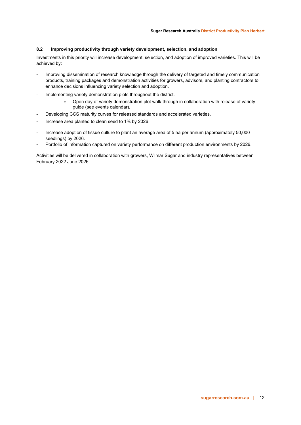## <span id="page-12-0"></span>**8.2 Improving productivity through variety development, selection, and adoption**

Investments in this priority will increase development, selection, and adoption of improved varieties. This will be achieved by:

- Improving dissemination of research knowledge through the delivery of targeted and timely communication products, training packages and demonstration activities for growers, advisors, and planting contractors to enhance decisions influencing variety selection and adoption.
- Implementing variety demonstration plots throughout the district.
	- $\circ$  Open day of variety demonstration plot walk through in collaboration with release of variety guide (see events calendar).
- Developing CCS maturity curves for released standards and accelerated varieties.
- Increase area planted to clean seed to 1% by 2026.
- Increase adoption of tissue culture to plant an average area of 5 ha per annum (approximately 50,000 seedlings) by 2026.
- Portfolio of information captured on variety performance on different production environments by 2026.

Activities will be delivered in collaboration with growers, Wilmar Sugar and industry representatives between February 2022 June 2026.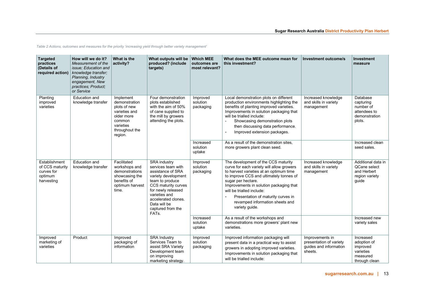*Table 2 Actions, outcomes and measures for the priority 'increasing yield through better variety management'*

| <b>Targeted</b><br>practices<br>(Details of<br>required action)         | How will we do it?<br>Measurement of the<br><i>issue: Education and</i><br>knowledge transfer:<br>Planning, Industry<br>engagement, New<br>practices: Product:<br>or Service | What is the<br>activity?                                                                                                      | What outputs will be<br>produced? (include<br>targets)                                                                                                                                                                                                 | <b>Which MEE</b><br>outcomes are<br>most relevant? | What does the MEE outcome mean for<br>this investment?                                                                                                                                                                                                                                                                                                          | <b>Investment outcome/s</b>                                                     | <b>Investment</b><br>measure                                                   |
|-------------------------------------------------------------------------|------------------------------------------------------------------------------------------------------------------------------------------------------------------------------|-------------------------------------------------------------------------------------------------------------------------------|--------------------------------------------------------------------------------------------------------------------------------------------------------------------------------------------------------------------------------------------------------|----------------------------------------------------|-----------------------------------------------------------------------------------------------------------------------------------------------------------------------------------------------------------------------------------------------------------------------------------------------------------------------------------------------------------------|---------------------------------------------------------------------------------|--------------------------------------------------------------------------------|
| Planting<br>improved<br>varieties                                       | <b>Education and</b><br>knowledge transfer                                                                                                                                   | Implement<br>demonstration<br>plots of new<br>varieties and<br>older more<br>common<br>varieties<br>throughout the<br>region. | Four demonstration<br>plots established<br>with the aim of 50%<br>of cane supplied to<br>the mill by growers<br>attending the plots.                                                                                                                   | Improved<br>solution<br>packaging                  | Local demonstration plots on different<br>production environments highlighting the<br>benefits of planting improved varieties.<br>Improvements in solution packaging that<br>will be trialled include:<br>Showcasing demonstration plots<br>then discussing data performance.<br>Improved extension packages.<br>$\blacksquare$                                 | Increased knowledge<br>and skills in variety<br>management                      | Database<br>capturing<br>number of<br>attendees to<br>demonstration<br>plots.  |
|                                                                         |                                                                                                                                                                              |                                                                                                                               |                                                                                                                                                                                                                                                        | Increased<br>solution<br>uptake                    | As a result of the demonstration sites.<br>more growers plant clean seed.                                                                                                                                                                                                                                                                                       |                                                                                 | Increased clean<br>seed sales.                                                 |
| Establishment<br>of CCS maturity<br>curves for<br>optimum<br>harvesting | <b>Education and</b><br>knowledge transfer                                                                                                                                   | Facilitated<br>workshops and<br>demonstrations<br>showcasing the<br>benefits of<br>optimum harvest<br>time.                   | <b>SRA industry</b><br>services team with<br>assistance of SRA<br>variety development<br>team to produce<br>CCS maturity curves<br>for newly released<br>varieties and<br>accelerated clones.<br>Data will be<br>captured from the<br>FAT <sub>s</sub> | Improved<br>solution<br>packaging                  | The development of the CCS maturity<br>curve for each variety will allow growers<br>to harvest varieties at an optimum time<br>to improve CCS and ultimately tonnes of<br>sugar per hectare.<br>Improvements in solution packaging that<br>will be trialled include:<br>Presentation of maturity curves in<br>revamped information sheets and<br>variety guide. | Increased knowledge<br>and skills in variety<br>management                      | Additional data in<br>QCane select<br>and Herbert<br>region variety<br>guide   |
|                                                                         |                                                                                                                                                                              |                                                                                                                               |                                                                                                                                                                                                                                                        | Increased<br>solution<br>uptake                    | As a result of the workshops and<br>demonstrations more growers' plant new<br>varieties.                                                                                                                                                                                                                                                                        |                                                                                 | Increased new<br>variety sales                                                 |
| Improved<br>marketing of<br>varieties                                   | Product                                                                                                                                                                      | Improved<br>packaging of<br>information                                                                                       | <b>SRA Industry</b><br>Services Team to<br>assist SRA Variety<br>Development team<br>on improving<br>marketing strategy.                                                                                                                               | Improved<br>solution<br>packaging                  | Improved information packaging will<br>present data in a practical way to assist<br>growers in adopting improved varieties.<br>Improvements in solution packaging that<br>will be trialled include:                                                                                                                                                             | Improvements in<br>presentation of variety<br>quides and information<br>sheets. | Increased<br>adoption of<br>improved<br>varieties<br>measured<br>through clean |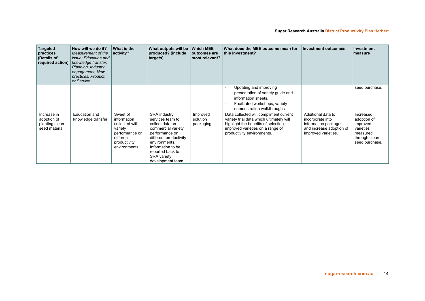| <b>Targeted</b><br>practices<br>(Details of<br>required action) | How will we do it?<br>Measurement of the<br>issue; Education and<br>knowledge transfer:<br>Planning, Industry<br>engagement, New<br>practices; Product;<br>or Service | What is the<br>activity?                                                                                             | What outputs will be<br>produced? (include<br>targets)                                                                                                                                                                            | <b>Which MEE</b><br>outcomes are<br>most relevant? | What does the MEE outcome mean for<br>this investment?                                                                                                                                      | Investment outcome/s                                                                                              | Investment<br>measure                                                                            |
|-----------------------------------------------------------------|-----------------------------------------------------------------------------------------------------------------------------------------------------------------------|----------------------------------------------------------------------------------------------------------------------|-----------------------------------------------------------------------------------------------------------------------------------------------------------------------------------------------------------------------------------|----------------------------------------------------|---------------------------------------------------------------------------------------------------------------------------------------------------------------------------------------------|-------------------------------------------------------------------------------------------------------------------|--------------------------------------------------------------------------------------------------|
|                                                                 |                                                                                                                                                                       |                                                                                                                      |                                                                                                                                                                                                                                   |                                                    | Updating and improving<br>$\blacksquare$<br>presentation of variety guide and<br>information sheets.<br>Facilitated workshops, variety<br>$\blacksquare$<br>demonstration walkthroughs.     |                                                                                                                   | seed purchase.                                                                                   |
| Increase in<br>adoption of<br>planting clean<br>seed material   | Education and<br>knowledge transfer                                                                                                                                   | Sweet of<br>information<br>collected with<br>variety<br>performance on<br>different<br>productivity<br>environments. | <b>SRA industry</b><br>services team to<br>collect data on<br>commercial variety<br>performance on<br>different productivity<br>environments.<br>Information to be<br>reported back to<br><b>SRA</b> variety<br>development team. | Improved<br>solution<br>packaging                  | Data collected will compliment current<br>variety trial data which ultimately will<br>highlight the benefits of selecting<br>improved varieties on a range of<br>productivity environments. | Additional data to<br>incorporate into<br>information packages<br>and increase adoption of<br>improved varieties. | Increased<br>adoption of<br>improved<br>varieties<br>measured<br>through clean<br>seed purchase. |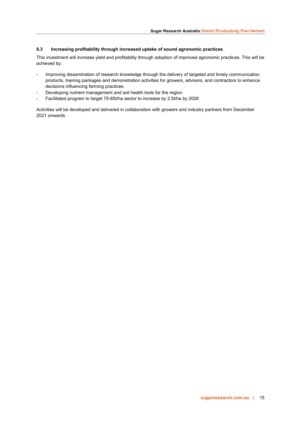## <span id="page-15-0"></span>**8.3 Increasing profitability through increased uptake of sound agronomic practices**

This investment will increase yield and profitability through adoption of improved agronomic practices. This will be achieved by:

- Improving dissemination of research knowledge through the delivery of targeted and timely communication products, training packages and demonstration activities for growers, advisors, and contractors to enhance decisions influencing farming practices.
- Developing nutrient management and soil health tools for the region.
- Facilitated program to target 75-85t/ha sector to increase by 2.5t/ha by 2026

Activities will be developed and delivered in collaboration with growers and industry partners from December 2021 onwards.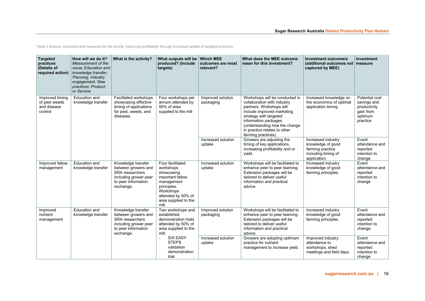**Targeted practices (Details of required action) How will we do it?** *Measurement of the issue; Education and knowledge transfer; Planning, Industry engagement, New practices; Product; or Service* **What is the activity? What outputs will be produced? (include targets) Which MEE outcomes are most relevant? What does the MEE outcome mean for this investment? Investment outcome/s (additional outcomes not captured by MEE) Investment measure** Improved timing of pest weeds and disease control Education and knowledge transfer Facilitated workshops showcasing effective timing of applications for pest, weeds, and diseases. Four workshops per annum attended by 50% of area supplied to the mill Improved solution packaging Workshops will be conducted in collaboration with industry partners. Workshops will include improved marketing strategy with targeted information packages (understanding how the change in practice relates to other farming practices). Increased knowledge on the economics of optimal application timing Potential cost savings and productivity gain from optimum practice Increased solution uptake Growers are adjusting the timing of key applications. increasing profitability and or yield. Increased industry knowledge of good farming practice including timing of application. Event attendance and reported intention to change Improved fallow management Education and knowledge transfer Knowledge transfer between growers and SRA researchers including grower peer to peer information exchange. Four facilitated workshops showcasing important fallow management principles. Workshops attended by 50% of area supplied to the mill. Increased solution uptake Workshops will be facilitated to enhance peer to peer learning. Extension packages will be tailored to deliver useful information and practical advice. Increased industry knowledge of good farming principles. Event attendance and reported intention to change Improved nutrient management Education and knowledge transfer Knowledge transfer between growers and SRA researchers including grower peer to peer information exchange. Two workshops and established demonstration trials attended by 50% of area supplied to the mill. - SIX EASY **STEPS** validation demonstration trial Improved solution packaging Workshops will be facilitated to enhance peer to peer learning. Extension packages will be tailored to deliver useful information and practical advice. Increased industry knowledge of good farming principles. **Fvent** attendance and reported intention to change. Increased solution uptake Growers are adopting optimum practice for nutrient management to increase yield. Improved industry attendance to workshops, shed meetings and field days. **Event** attendance and reported intention to change

*Table 3 Actions, outcomes and measures for the priority 'improving profitability through increased uptake of targeted practices.'*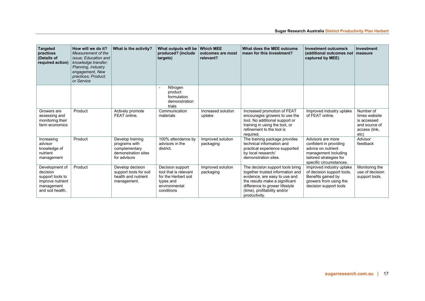| <b>Targeted</b><br>practices<br>(Details of<br>required action)                                      | How will we do it?<br>Measurement of the<br><i>issue: Education and</i><br>knowledge transfer;<br>Planning, Industry<br>engagement, New<br>practices: Product:<br>or Service | What is the activity?                                                                     | What outputs will be<br>produced? (include<br>targets)                                                        | <b>Which MEE</b><br>outcomes are most<br>relevant? | What does the MEE outcome<br>mean for this investment?                                                                                                                                                                     | Investment outcome/s<br>(additional outcomes not   measure<br>captured by MEE)                                                                  | Investment                                                                          |
|------------------------------------------------------------------------------------------------------|------------------------------------------------------------------------------------------------------------------------------------------------------------------------------|-------------------------------------------------------------------------------------------|---------------------------------------------------------------------------------------------------------------|----------------------------------------------------|----------------------------------------------------------------------------------------------------------------------------------------------------------------------------------------------------------------------------|-------------------------------------------------------------------------------------------------------------------------------------------------|-------------------------------------------------------------------------------------|
|                                                                                                      |                                                                                                                                                                              |                                                                                           | Nitrogen<br>ä,<br>product<br>formulation<br>demonstration<br>trials                                           |                                                    |                                                                                                                                                                                                                            |                                                                                                                                                 |                                                                                     |
| Growers are<br>assessing and<br>monitoring their<br>farm economics                                   | Product                                                                                                                                                                      | Actively promote<br>FEAT online.                                                          | Communication<br>materials                                                                                    | Increased solution<br>uptake                       | Increased promotion of FEAT<br>encourages growers to use the<br>tool. No additional support or<br>training in using the tool, or<br>refinement to the tool is<br>required.                                                 | Improved industry uptake<br>of FEAT online.                                                                                                     | Number of<br>times website<br>is accessed<br>and source of<br>access (link,<br>etc) |
| Increasing<br>advisor<br>knowledge of<br>nutrient<br>management                                      | Product                                                                                                                                                                      | Develop training<br>programs with<br>complementary<br>demonstration sites<br>for advisors | 100% attendance by<br>advisors in the<br>district.                                                            | Improved solution<br>packaging                     | The training package provides<br>technical information and<br>practical experience supported<br>by local research/<br>demonstration sites.                                                                                 | Advisors are more<br>confident in providing<br>advice on nutrient<br>management including<br>tailored strategies for<br>specific circumstances. | Advisor<br>feedback                                                                 |
| Development of<br>decision<br>support tools to<br>improve nutrient<br>management<br>and soil health. | Product                                                                                                                                                                      | Develop decision<br>support tools for soil<br>health and nutrient<br>management.          | Decision support<br>tool that is relevant<br>for the Herbert soil<br>types and<br>environmental<br>conditions | Improved solution<br>packaging                     | The decision support tools bring<br>together trusted information and<br>evidence, are easy to use and<br>the results make a significant<br>difference to grower lifestyle<br>(time), profitability and/or<br>productivity. | Improved industry uptake<br>of decision support tools.<br>Benefits gained by<br>growers from using the<br>decision support tools                | Monitoring the<br>use of decision<br>support tools.                                 |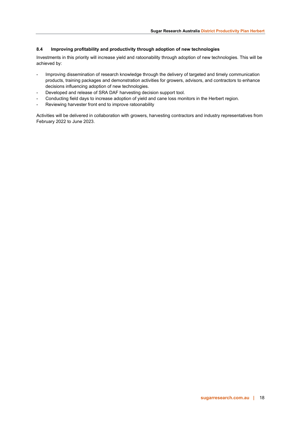## <span id="page-18-0"></span>**8.4 Improving profitability and productivity through adoption of new technologies**

Investments in this priority will increase yield and ratoonability through adoption of new technologies. This will be achieved by:

- Improving dissemination of research knowledge through the delivery of targeted and timely communication products, training packages and demonstration activities for growers, advisors, and contractors to enhance decisions influencing adoption of new technologies.
- Developed and release of SRA DAF harvesting decision support tool.
- Conducting field days to increase adoption of yield and cane loss monitors in the Herbert region.
- Reviewing harvester front end to improve ratoonability

Activities will be delivered in collaboration with growers, harvesting contractors and industry representatives from February 2022 to June 2023.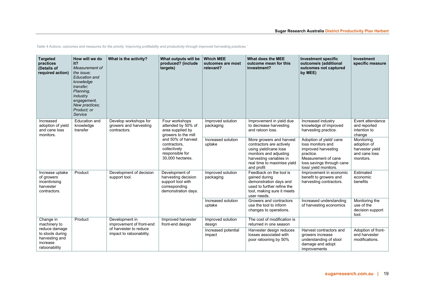| <b>Targeted</b><br>practices<br>(Details of<br>required action)                                               | How will we do<br>it?<br>Measurement of<br>the issue:<br><b>Education</b> and<br>knowledge<br>transfer:<br>Planning,<br>Industry<br>engagement.<br>New practices:<br>Product: or<br>Service | What is the activity?                                                                            | What outputs will be<br>produced? (include<br>targets)                                                                                                                       | <b>Which MEE</b><br>outcomes are most<br>relevant? | What does the MEE<br>outcome mean for this<br>investment?                                                                                                                       | <b>Investment specific</b><br>outcome/s (additional<br>outcomes not captured<br>by MEE)                                                                       | Investment<br>specific measure                                             |
|---------------------------------------------------------------------------------------------------------------|---------------------------------------------------------------------------------------------------------------------------------------------------------------------------------------------|--------------------------------------------------------------------------------------------------|------------------------------------------------------------------------------------------------------------------------------------------------------------------------------|----------------------------------------------------|---------------------------------------------------------------------------------------------------------------------------------------------------------------------------------|---------------------------------------------------------------------------------------------------------------------------------------------------------------|----------------------------------------------------------------------------|
| Increased<br>adoption of yield<br>and cane loss<br>monitors.                                                  | <b>Education and</b><br>knowledge<br>transfer                                                                                                                                               | Develop workshops for<br>growers and harvesting<br>contractors.                                  | Four workshops<br>attended by 50% of<br>area supplied by<br>growers to the mill<br>and 50% of harvest<br>contractors,<br>collectively<br>responsible for<br>30,000 hectares. | Improved solution<br>packaging                     | Improvement in yield due<br>to decrease harvesting<br>and ratoon loss.                                                                                                          | Increased industry<br>knowledge of improved<br>harvesting practice.                                                                                           | Event attendance<br>and reported<br>intention to<br>change                 |
|                                                                                                               |                                                                                                                                                                                             |                                                                                                  |                                                                                                                                                                              | Increased solution<br>uptake                       | More growers and harvest<br>contractors are actively<br>using yield/cane lose<br>monitors and adjusting<br>harvesting variables in<br>real time to maximise yield<br>and profit | Adoption of yield/ cane<br>loss monitors and<br>improved harvesting<br>practice.<br>Measurement of cane<br>loss savings through cane<br>loss/ yield monitors. | Monitoring<br>adoption of<br>harvester yield<br>and cane loss<br>monitors. |
| Increase uptake<br>of growers<br>incentivising<br>harvester<br>contractors.                                   | Product                                                                                                                                                                                     | Development of decision<br>support tool.                                                         | Development of<br>harvesting decision<br>support tool with<br>corresponding<br>demonstration days.                                                                           | Improved solution<br>packaging                     | Feedback on the tool is<br>gained during<br>demonstration days and<br>used to further refine the<br>tool, making sure it meets<br>user needs.                                   | Improvement in economic<br>benefit to growers and<br>harvesting contractors.                                                                                  | Estimated<br>economic<br>benefits                                          |
|                                                                                                               |                                                                                                                                                                                             |                                                                                                  |                                                                                                                                                                              | Increased solution<br>uptake                       | Growers and contractors<br>use the tool to inform<br>changes to operations.                                                                                                     | Increased understanding<br>of harvesting economics                                                                                                            | Monitoring the<br>use of the<br>decision support<br>tool.                  |
| Change in<br>machinery to<br>reduce damage<br>to stools during<br>harvesting and<br>increase<br>ratoonability | Product                                                                                                                                                                                     | Development in<br>improvement of front-end<br>of harvester to reduce<br>impact to ratoonability. | Improved harvester<br>front-end design                                                                                                                                       | Improved solution<br>design                        | The cost of modification is<br>returned in one season                                                                                                                           |                                                                                                                                                               |                                                                            |
|                                                                                                               |                                                                                                                                                                                             |                                                                                                  |                                                                                                                                                                              | Increased potential<br>impact                      | Harvester design reduces<br>losses associated with<br>poor ratooning by 50%                                                                                                     | Harvest contractors and<br>growers increase<br>understanding of stool<br>damage and adopt<br>improvements                                                     | Adoption of front-<br>end harvester<br>modifications.                      |

*Table 4 Actions, outcomes and measures for the priority 'improving profitability and productivity through improved harvesting practices.'*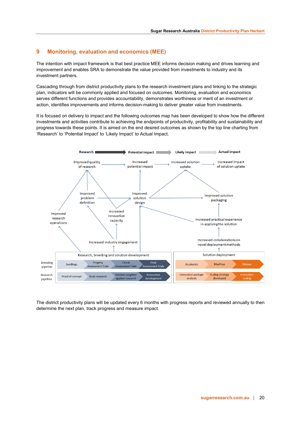## <span id="page-20-0"></span>**9 Monitoring, evaluation and economics (MEE)**

The intention with impact framework is that best practice MEE informs decision making and drives learning and improvement and enables SRA to demonstrate the value provided from investments to industry and its investment partners.

Cascading through from district productivity plans to the research investment plans and linking to the strategic plan, indicators will be commonly applied and focused on outcomes. Monitoring, evaluation and economics serves different functions and provides accountability, demonstrates worthiness or merit of an investment or action, identifies improvements and informs decision-making to deliver greater value from investments.

It is focused on delivery to impact and the following outcomes map has been developed to show how the different investments and activities contribute to achieving the endpoints of productivity, profitability and sustainability and progress towards these points. It is aimed on the end desired outcomes as shown by the top line charting from 'Research' to 'Potential Impact' to 'Likely Impact' to Actual Impact.



The district productivity plans will be updated every 6 months with progress reports and reviewed annually to then determine the next plan, track progress and measure impact.